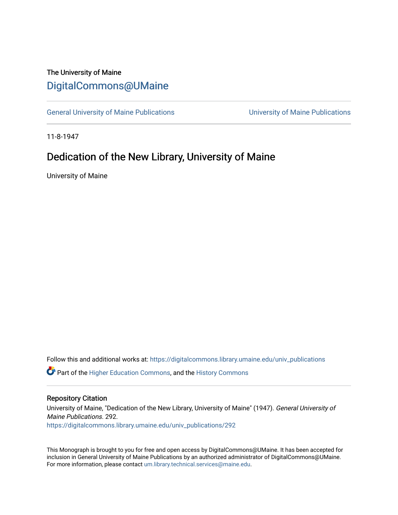## The University of Maine [DigitalCommons@UMaine](https://digitalcommons.library.umaine.edu/)

[General University of Maine Publications](https://digitalcommons.library.umaine.edu/univ_publications) [University of Maine Publications](https://digitalcommons.library.umaine.edu/umaine_publications) 

11-8-1947

## Dedication of the New Library, University of Maine

University of Maine

Follow this and additional works at: [https://digitalcommons.library.umaine.edu/univ\\_publications](https://digitalcommons.library.umaine.edu/univ_publications?utm_source=digitalcommons.library.umaine.edu%2Funiv_publications%2F292&utm_medium=PDF&utm_campaign=PDFCoverPages) 

**C** Part of the [Higher Education Commons,](http://network.bepress.com/hgg/discipline/1245?utm_source=digitalcommons.library.umaine.edu%2Funiv_publications%2F292&utm_medium=PDF&utm_campaign=PDFCoverPages) and the [History Commons](http://network.bepress.com/hgg/discipline/489?utm_source=digitalcommons.library.umaine.edu%2Funiv_publications%2F292&utm_medium=PDF&utm_campaign=PDFCoverPages)

#### Repository Citation

University of Maine, "Dedication of the New Library, University of Maine" (1947). General University of Maine Publications. 292. [https://digitalcommons.library.umaine.edu/univ\\_publications/292](https://digitalcommons.library.umaine.edu/univ_publications/292?utm_source=digitalcommons.library.umaine.edu%2Funiv_publications%2F292&utm_medium=PDF&utm_campaign=PDFCoverPages) 

This Monograph is brought to you for free and open access by DigitalCommons@UMaine. It has been accepted for inclusion in General University of Maine Publications by an authorized administrator of DigitalCommons@UMaine. For more information, please contact [um.library.technical.services@maine.edu](mailto:um.library.technical.services@maine.edu).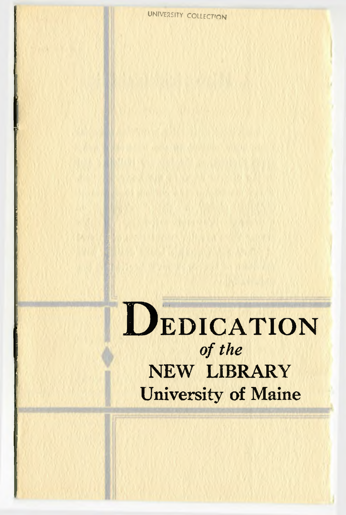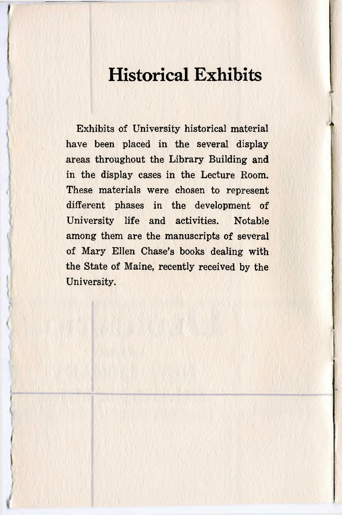# **Historical Exhibits**

Exhibits of University historical material have been placed in the several display areas throughout the Library Building and in the display cases in the Lecture Room. These materials were chosen to represent different phases in the development of University life and activities. Notable among them are the manuscripts of several of Mary Ellen Chase's books dealing with the State of Maine, recently received by the University.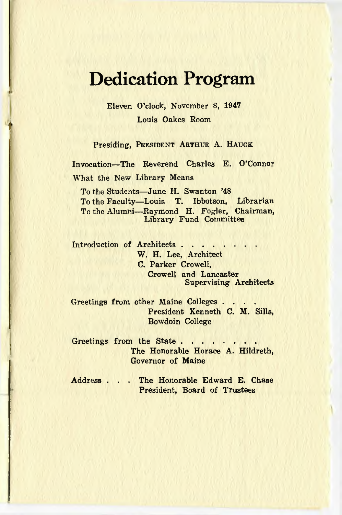# **Dedication Program**

Eleven O'clock, November 8, 1947 Louis Oakes Room

Presiding, PRESIDENT ARTHUR A. HAUCK

Invocation—The Reverend Charles E. O'Connor What the New Library Means

To the Students—June H. Swanton '48 To the Faculty—Louis T. Ibbotson, Librarian To the Alumni— Raymond H. Fogler, Chairman, Library Fund Committee

Introduction of Architects . . . . . . W. H. Lee, Architect C. Parker Crowell, Crowell and Lancaster Supervising Architects

Greetings from other Maine Colleges... President Kenneth C. M. Sills, Bowdoin College

Greetings from the State... The Honorable Horace A. Hildreth, Governor of Maine

Address . . . The Honorable Edward E. Chase President, Board of Trustees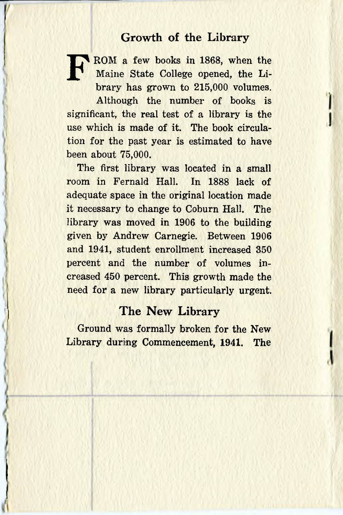### **Growth of the Library**

**FROM a few books in 1868, when the Maine State College opened, the Library has grown to 215,000 volumes.** Maine State College opened, the Library has grown to 215,000 volumes.

Although the number of books is significant, the real test of a library is the use which is made of it. The book circulation for the past year is estimated to have been about 75,000.

The first library was located in a small room in Fernald Hall. In 1888 lack of adequate space in the original location made it necessary to change to Coburn Hall. The library was moved in 1906 to the building given by Andrew Carnegie. Between 1906 and 1941, student enrollment increased 350 percent and the number of volumes increased 450 percent. This growth made the need for a new library particularly urgent.

#### **The New Library**

Ground was formally broken for the New Library during Commencement, 1941. The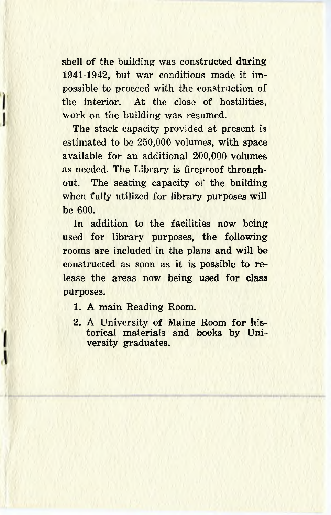shell of the building was constructed during 1941-1942, but war conditions made it impossible to proceed with the construction of the interior. At the close of hostilities, work on the building was resumed.

The stack capacity provided at present is estimated to be 250,000 volumes, with space available for an additional 200,000 volumes as needed. The Library is fireproof throughout. The seating capacity of the building when fully utilized for library purposes will be 600.

In addition to the facilities now being used for library purposes, the following rooms are included in the plans and will be constructed as soon as it is possible to release the areas now being used for class purposes.

- 1. A main Reading Room.
- 2. A University of Maine Room for historical materials and books by University graduates.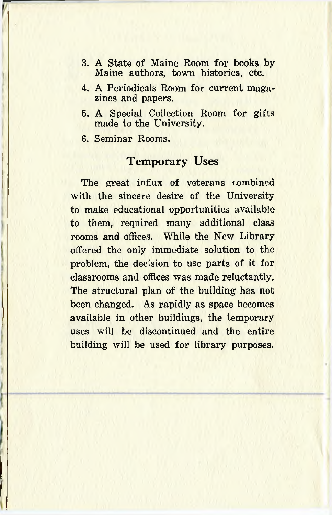- 3. A State of Maine Room for books by-Maine authors, town histories, etc.
- 4. A Periodicals Room for current magazines and papers.
- 5. A Special Collection Room for gifts made to the University.
- 6. Seminar Rooms.

### **Temporary Uses**

The great influx of veterans combined with the sincere desire of the University to make educational opportunities available to them, required many additional class rooms and offices. While the New Library offered the only immediate solution to the problem, the decision to use parts of it for classrooms and offices was made reluctantly. The structural plan of the building has not been changed. As rapidly as space becomes available in other buildings, the temporary uses will be discontinued and the entire building will be used for library purposes.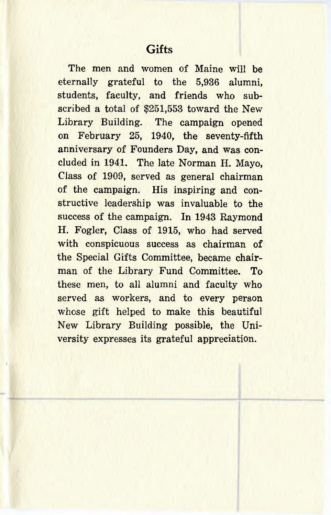The men and women of Maine will be eternally grateful to the 5,936 alumni, students, faculty, and friends who subscribed a total of \$251,553 toward the New Library Building. The campaign opened on February 25, 1940, the seventy-fifth anniversary of Founders Day, and was concluded in 1941. The late Norman H. Mayo, Class of 1909, served as general chairman of the campaign. His inspiring and constructive leadership was invaluable to the success of the campaign. In 1943 Raymond H. Fogler, Class of 1915, who had served with conspicuous success as chairman of the Special Gifts Committee, became chairman of the Library Fund Committee. To these men, to all alumni and faculty who served as workers, and to every person whose gift helped to make this beautiful New Library Building possible, the University expresses its grateful appreciation.